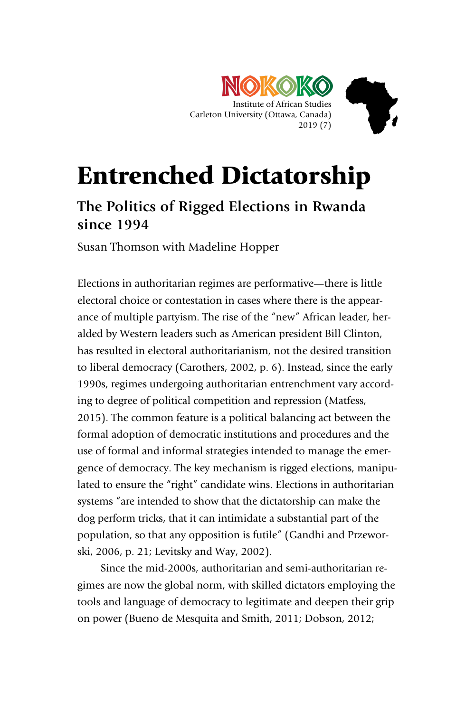

# Entrenched Dictatorship

# **The Politics of Rigged Elections in Rwanda since 1994**

Susan Thomson with Madeline Hopper

Elections in authoritarian regimes are performative—there is little electoral choice or contestation in cases where there is the appearance of multiple partyism. The rise of the "new" African leader, heralded by Western leaders such as American president Bill Clinton, has resulted in electoral authoritarianism, not the desired transition to liberal democracy (Carothers, 2002, p. 6). Instead, since the early 1990s, regimes undergoing authoritarian entrenchment vary according to degree of political competition and repression (Matfess, 2015). The common feature is a political balancing act between the formal adoption of democratic institutions and procedures and the use of formal and informal strategies intended to manage the emergence of democracy. The key mechanism is rigged elections, manipulated to ensure the "right" candidate wins. Elections in authoritarian systems "are intended to show that the dictatorship can make the dog perform tricks, that it can intimidate a substantial part of the population, so that any opposition is futile" (Gandhi and Przeworski, 2006, p. 21; Levitsky and Way, 2002).

Since the mid-2000s, authoritarian and semi-authoritarian regimes are now the global norm, with skilled dictators employing the tools and language of democracy to legitimate and deepen their grip on power (Bueno de Mesquita and Smith, 2011; Dobson, 2012;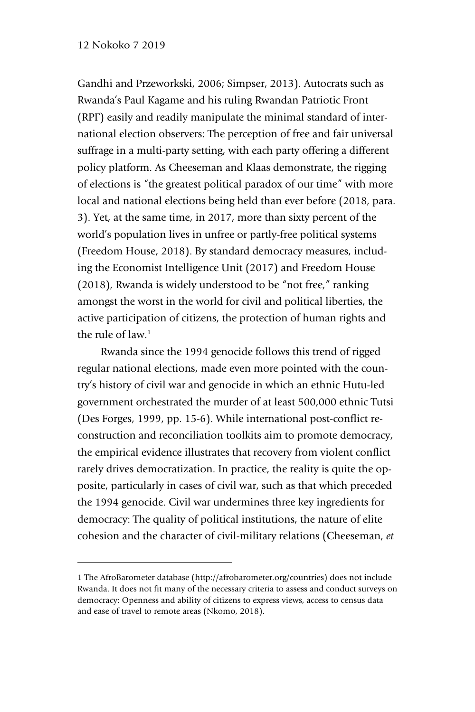-

Gandhi and Przeworkski, 2006; Simpser, 2013). Autocrats such as Rwanda's Paul Kagame and his ruling Rwandan Patriotic Front (RPF) easily and readily manipulate the minimal standard of international election observers: The perception of free and fair universal suffrage in a multi-party setting, with each party offering a different policy platform. As Cheeseman and Klaas demonstrate, the rigging of elections is "the greatest political paradox of our time" with more local and national elections being held than ever before (2018, para. 3). Yet, at the same time, in 2017, more than sixty percent of the world's population lives in unfree or partly-free political systems (Freedom House, 2018). By standard democracy measures, including the Economist Intelligence Unit (2017) and Freedom House (2018), Rwanda is widely understood to be "not free," ranking amongst the worst in the world for civil and political liberties, the active participation of citizens, the protection of human rights and the rule of law. $<sup>1</sup>$ </sup>

Rwanda since the 1994 genocide follows this trend of rigged regular national elections, made even more pointed with the country's history of civil war and genocide in which an ethnic Hutu-led government orchestrated the murder of at least 500,000 ethnic Tutsi (Des Forges, 1999, pp. 15-6). While international post-conflict reconstruction and reconciliation toolkits aim to promote democracy, the empirical evidence illustrates that recovery from violent conflict rarely drives democratization. In practice, the reality is quite the opposite, particularly in cases of civil war, such as that which preceded the 1994 genocide. Civil war undermines three key ingredients for democracy: The quality of political institutions, the nature of elite cohesion and the character of civil-military relations (Cheeseman, *et* 

<sup>1</sup> The AfroBarometer database (http://afrobarometer.org/countries) does not include Rwanda. It does not fit many of the necessary criteria to assess and conduct surveys on democracy: Openness and ability of citizens to express views, access to census data and ease of travel to remote areas (Nkomo, 2018).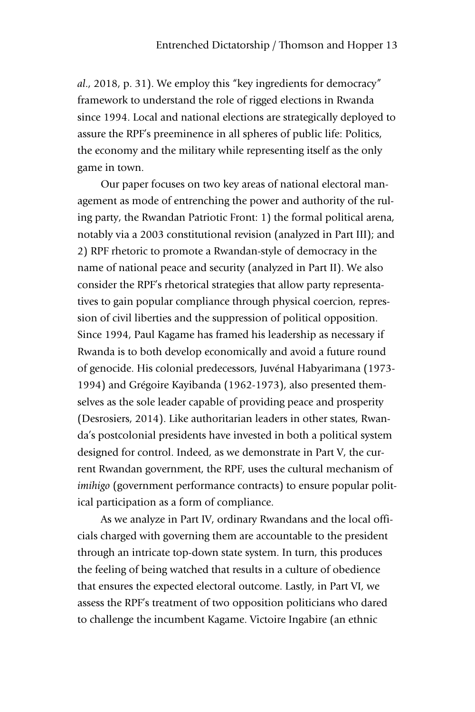*al*., 2018, p. 31). We employ this "key ingredients for democracy" framework to understand the role of rigged elections in Rwanda since 1994. Local and national elections are strategically deployed to assure the RPF's preeminence in all spheres of public life: Politics, the economy and the military while representing itself as the only game in town.

Our paper focuses on two key areas of national electoral management as mode of entrenching the power and authority of the ruling party, the Rwandan Patriotic Front: 1) the formal political arena, notably via a 2003 constitutional revision (analyzed in Part III); and 2) RPF rhetoric to promote a Rwandan-style of democracy in the name of national peace and security (analyzed in Part II). We also consider the RPF's rhetorical strategies that allow party representatives to gain popular compliance through physical coercion, repression of civil liberties and the suppression of political opposition. Since 1994, Paul Kagame has framed his leadership as necessary if Rwanda is to both develop economically and avoid a future round of genocide. His colonial predecessors, Juvénal Habyarimana (1973- 1994) and Grégoire Kayibanda (1962-1973), also presented themselves as the sole leader capable of providing peace and prosperity (Desrosiers, 2014). Like authoritarian leaders in other states, Rwanda's postcolonial presidents have invested in both a political system designed for control. Indeed, as we demonstrate in Part V, the current Rwandan government, the RPF, uses the cultural mechanism of *imihigo* (government performance contracts) to ensure popular political participation as a form of compliance.

As we analyze in Part IV, ordinary Rwandans and the local officials charged with governing them are accountable to the president through an intricate top-down state system. In turn, this produces the feeling of being watched that results in a culture of obedience that ensures the expected electoral outcome. Lastly, in Part VI, we assess the RPF's treatment of two opposition politicians who dared to challenge the incumbent Kagame. Victoire Ingabire (an ethnic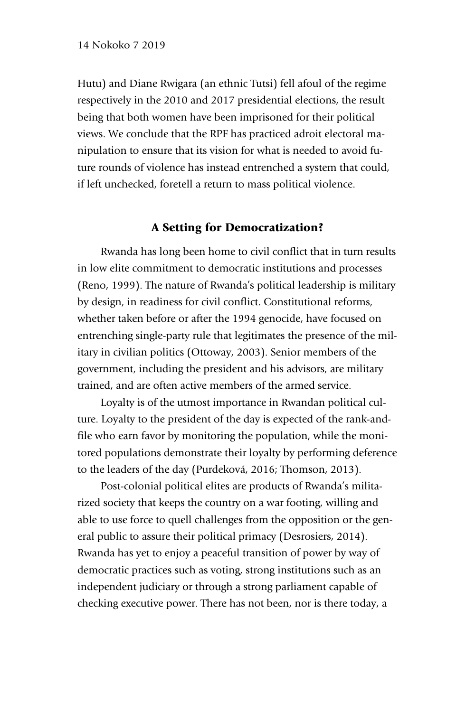Hutu) and Diane Rwigara (an ethnic Tutsi) fell afoul of the regime respectively in the 2010 and 2017 presidential elections, the result being that both women have been imprisoned for their political views. We conclude that the RPF has practiced adroit electoral manipulation to ensure that its vision for what is needed to avoid future rounds of violence has instead entrenched a system that could, if left unchecked, foretell a return to mass political violence.

# A Setting for Democratization?

Rwanda has long been home to civil conflict that in turn results in low elite commitment to democratic institutions and processes (Reno, 1999). The nature of Rwanda's political leadership is military by design, in readiness for civil conflict. Constitutional reforms, whether taken before or after the 1994 genocide, have focused on entrenching single-party rule that legitimates the presence of the military in civilian politics (Ottoway, 2003). Senior members of the government, including the president and his advisors, are military trained, and are often active members of the armed service.

Loyalty is of the utmost importance in Rwandan political culture. Loyalty to the president of the day is expected of the rank-andfile who earn favor by monitoring the population, while the monitored populations demonstrate their loyalty by performing deference to the leaders of the day (Purdeková, 2016; Thomson, 2013).

Post-colonial political elites are products of Rwanda's militarized society that keeps the country on a war footing, willing and able to use force to quell challenges from the opposition or the general public to assure their political primacy (Desrosiers, 2014). Rwanda has yet to enjoy a peaceful transition of power by way of democratic practices such as voting, strong institutions such as an independent judiciary or through a strong parliament capable of checking executive power. There has not been, nor is there today, a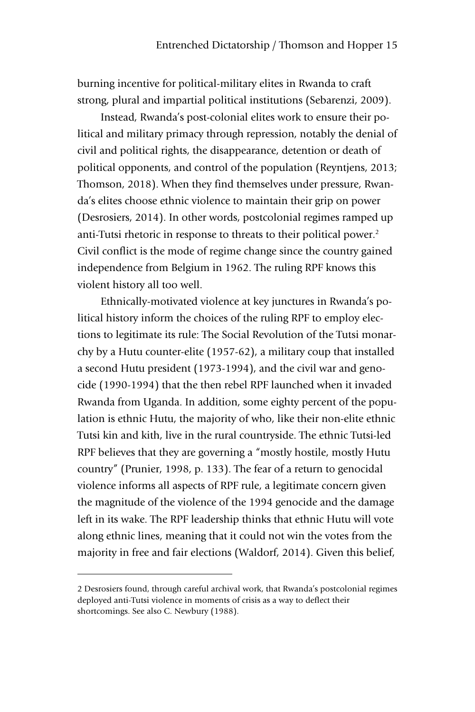burning incentive for political-military elites in Rwanda to craft strong, plural and impartial political institutions (Sebarenzi, 2009).

Instead, Rwanda's post-colonial elites work to ensure their political and military primacy through repression, notably the denial of civil and political rights, the disappearance, detention or death of political opponents, and control of the population (Reyntjens, 2013; Thomson, 2018). When they find themselves under pressure, Rwanda's elites choose ethnic violence to maintain their grip on power (Desrosiers, 2014). In other words, postcolonial regimes ramped up anti-Tutsi rhetoric in response to threats to their political power.<sup>2</sup> Civil conflict is the mode of regime change since the country gained independence from Belgium in 1962. The ruling RPF knows this violent history all too well.

Ethnically-motivated violence at key junctures in Rwanda's political history inform the choices of the ruling RPF to employ elections to legitimate its rule: The Social Revolution of the Tutsi monarchy by a Hutu counter-elite (1957-62), a military coup that installed a second Hutu president (1973-1994), and the civil war and genocide (1990-1994) that the then rebel RPF launched when it invaded Rwanda from Uganda. In addition, some eighty percent of the population is ethnic Hutu, the majority of who, like their non-elite ethnic Tutsi kin and kith, live in the rural countryside. The ethnic Tutsi-led RPF believes that they are governing a "mostly hostile, mostly Hutu country" (Prunier, 1998, p. 133). The fear of a return to genocidal violence informs all aspects of RPF rule, a legitimate concern given the magnitude of the violence of the 1994 genocide and the damage left in its wake. The RPF leadership thinks that ethnic Hutu will vote along ethnic lines, meaning that it could not win the votes from the majority in free and fair elections (Waldorf, 2014). Given this belief,

-

<sup>2</sup> Desrosiers found, through careful archival work, that Rwanda's postcolonial regimes deployed anti-Tutsi violence in moments of crisis as a way to deflect their shortcomings. See also C. Newbury (1988).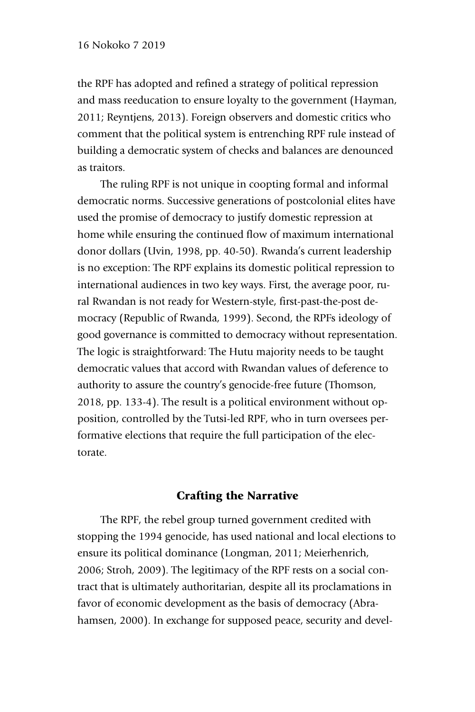the RPF has adopted and refined a strategy of political repression and mass reeducation to ensure loyalty to the government (Hayman, 2011; Reyntjens, 2013). Foreign observers and domestic critics who comment that the political system is entrenching RPF rule instead of building a democratic system of checks and balances are denounced as traitors.

The ruling RPF is not unique in coopting formal and informal democratic norms. Successive generations of postcolonial elites have used the promise of democracy to justify domestic repression at home while ensuring the continued flow of maximum international donor dollars (Uvin, 1998, pp. 40-50). Rwanda's current leadership is no exception: The RPF explains its domestic political repression to international audiences in two key ways. First, the average poor, rural Rwandan is not ready for Western-style, first-past-the-post democracy (Republic of Rwanda, 1999). Second, the RPFs ideology of good governance is committed to democracy without representation. The logic is straightforward: The Hutu majority needs to be taught democratic values that accord with Rwandan values of deference to authority to assure the country's genocide-free future (Thomson, 2018, pp. 133-4). The result is a political environment without opposition, controlled by the Tutsi-led RPF, who in turn oversees performative elections that require the full participation of the electorate.

# Crafting the Narrative

The RPF, the rebel group turned government credited with stopping the 1994 genocide, has used national and local elections to ensure its political dominance (Longman, 2011; Meierhenrich, 2006; Stroh, 2009). The legitimacy of the RPF rests on a social contract that is ultimately authoritarian, despite all its proclamations in favor of economic development as the basis of democracy (Abrahamsen, 2000). In exchange for supposed peace, security and devel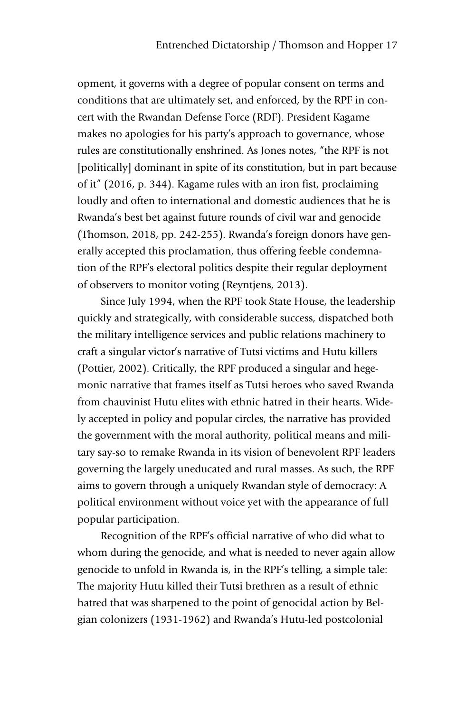opment, it governs with a degree of popular consent on terms and conditions that are ultimately set, and enforced, by the RPF in concert with the Rwandan Defense Force (RDF). President Kagame makes no apologies for his party's approach to governance, whose rules are constitutionally enshrined. As Jones notes, "the RPF is not [politically] dominant in spite of its constitution, but in part because of it" (2016, p. 344). Kagame rules with an iron fist, proclaiming loudly and often to international and domestic audiences that he is Rwanda's best bet against future rounds of civil war and genocide (Thomson, 2018, pp. 242-255). Rwanda's foreign donors have generally accepted this proclamation, thus offering feeble condemnation of the RPF's electoral politics despite their regular deployment of observers to monitor voting (Reyntjens, 2013).

Since July 1994, when the RPF took State House, the leadership quickly and strategically, with considerable success, dispatched both the military intelligence services and public relations machinery to craft a singular victor's narrative of Tutsi victims and Hutu killers (Pottier, 2002). Critically, the RPF produced a singular and hegemonic narrative that frames itself as Tutsi heroes who saved Rwanda from chauvinist Hutu elites with ethnic hatred in their hearts. Widely accepted in policy and popular circles, the narrative has provided the government with the moral authority, political means and military say-so to remake Rwanda in its vision of benevolent RPF leaders governing the largely uneducated and rural masses. As such, the RPF aims to govern through a uniquely Rwandan style of democracy: A political environment without voice yet with the appearance of full popular participation.

Recognition of the RPF's official narrative of who did what to whom during the genocide, and what is needed to never again allow genocide to unfold in Rwanda is, in the RPF's telling, a simple tale: The majority Hutu killed their Tutsi brethren as a result of ethnic hatred that was sharpened to the point of genocidal action by Belgian colonizers (1931-1962) and Rwanda's Hutu-led postcolonial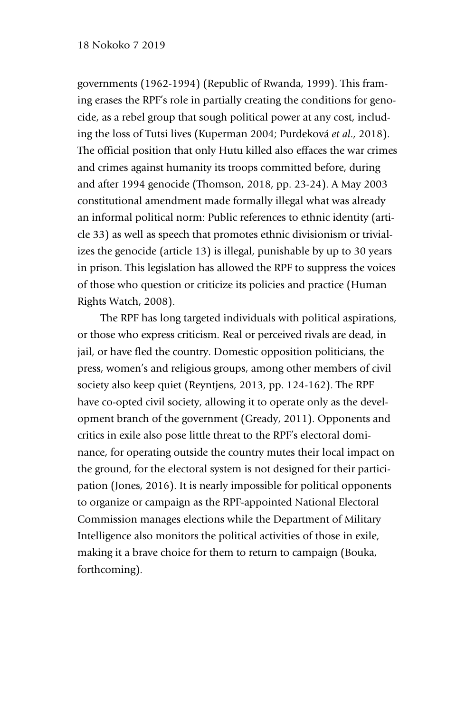# 18 Nokoko 7 2019

governments (1962-1994) (Republic of Rwanda, 1999). This framing erases the RPF's role in partially creating the conditions for genocide, as a rebel group that sough political power at any cost, including the loss of Tutsi lives (Kuperman 2004; Purdeková *et al*., 2018). The official position that only Hutu killed also effaces the war crimes and crimes against humanity its troops committed before, during and after 1994 genocide (Thomson, 2018, pp. 23-24). A May 2003 constitutional amendment made formally illegal what was already an informal political norm: Public references to ethnic identity (article 33) as well as speech that promotes ethnic divisionism or trivializes the genocide (article 13) is illegal, punishable by up to 30 years in prison. This legislation has allowed the RPF to suppress the voices of those who question or criticize its policies and practice (Human Rights Watch, 2008).

The RPF has long targeted individuals with political aspirations, or those who express criticism. Real or perceived rivals are dead, in jail, or have fled the country. Domestic opposition politicians, the press, women's and religious groups, among other members of civil society also keep quiet (Reyntjens, 2013, pp. 124-162). The RPF have co-opted civil society, allowing it to operate only as the development branch of the government (Gready, 2011). Opponents and critics in exile also pose little threat to the RPF's electoral dominance, for operating outside the country mutes their local impact on the ground, for the electoral system is not designed for their participation (Jones, 2016). It is nearly impossible for political opponents to organize or campaign as the RPF-appointed National Electoral Commission manages elections while the Department of Military Intelligence also monitors the political activities of those in exile, making it a brave choice for them to return to campaign (Bouka, forthcoming).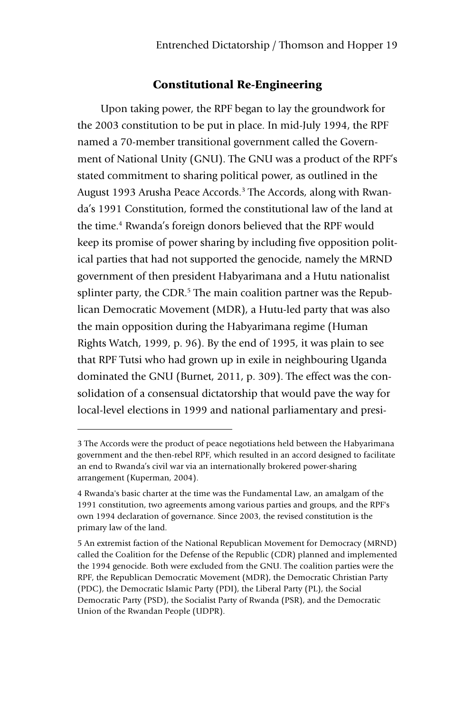# Constitutional Re-Engineering

Upon taking power, the RPF began to lay the groundwork for the 2003 constitution to be put in place. In mid-July 1994, the RPF named a 70-member transitional government called the Government of National Unity (GNU). The GNU was a product of the RPF's stated commitment to sharing political power, as outlined in the August 1993 Arusha Peace Accords.<sup>3</sup> The Accords, along with Rwanda's 1991 Constitution, formed the constitutional law of the land at the time.<sup>4</sup> Rwanda's foreign donors believed that the RPF would keep its promise of power sharing by including five opposition political parties that had not supported the genocide, namely the MRND government of then president Habyarimana and a Hutu nationalist splinter party, the CDR.<sup>5</sup> The main coalition partner was the Republican Democratic Movement (MDR), a Hutu-led party that was also the main opposition during the Habyarimana regime (Human Rights Watch, 1999, p. 96). By the end of 1995, it was plain to see that RPF Tutsi who had grown up in exile in neighbouring Uganda dominated the GNU (Burnet, 2011, p. 309). The effect was the consolidation of a consensual dictatorship that would pave the way for local-level elections in 1999 and national parliamentary and presi-

-

<sup>3</sup> The Accords were the product of peace negotiations held between the Habyarimana government and the then-rebel RPF, which resulted in an accord designed to facilitate an end to Rwanda's civil war via an internationally brokered power-sharing arrangement (Kuperman, 2004).

<sup>4</sup> Rwanda's basic charter at the time was the Fundamental Law, an amalgam of the 1991 constitution, two agreements among various parties and groups, and the RPF's own 1994 declaration of governance. Since 2003, the revised constitution is the primary law of the land.

<sup>5</sup> An extremist faction of the National Republican Movement for Democracy (MRND) called the Coalition for the Defense of the Republic (CDR) planned and implemented the 1994 genocide. Both were excluded from the GNU. The coalition parties were the RPF, the Republican Democratic Movement (MDR), the Democratic Christian Party (PDC), the Democratic Islamic Party (PDI), the Liberal Party (PL), the Social Democratic Party (PSD), the Socialist Party of Rwanda (PSR), and the Democratic Union of the Rwandan People (UDPR).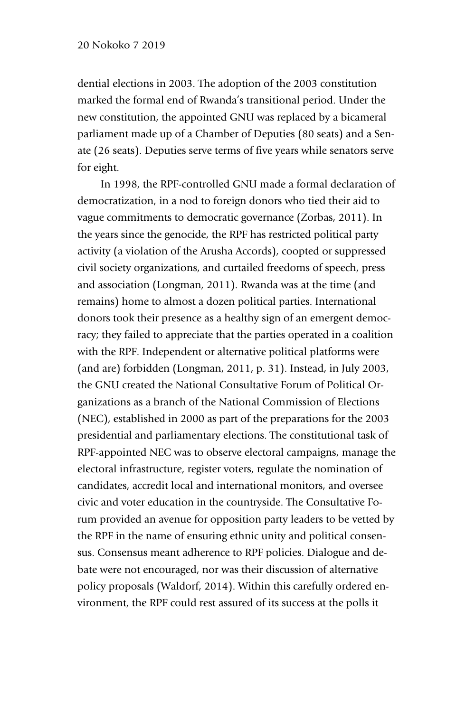dential elections in 2003. The adoption of the 2003 constitution marked the formal end of Rwanda's transitional period. Under the new constitution, the appointed GNU was replaced by a bicameral parliament made up of a Chamber of Deputies (80 seats) and a Senate (26 seats). Deputies serve terms of five years while senators serve for eight.

In 1998, the RPF-controlled GNU made a formal declaration of democratization, in a nod to foreign donors who tied their aid to vague commitments to democratic governance (Zorbas, 2011). In the years since the genocide, the RPF has restricted political party activity (a violation of the Arusha Accords), coopted or suppressed civil society organizations, and curtailed freedoms of speech, press and association (Longman, 2011). Rwanda was at the time (and remains) home to almost a dozen political parties. International donors took their presence as a healthy sign of an emergent democracy; they failed to appreciate that the parties operated in a coalition with the RPF. Independent or alternative political platforms were (and are) forbidden (Longman, 2011, p. 31). Instead, in July 2003, the GNU created the National Consultative Forum of Political Organizations as a branch of the National Commission of Elections (NEC), established in 2000 as part of the preparations for the 2003 presidential and parliamentary elections. The constitutional task of RPF-appointed NEC was to observe electoral campaigns, manage the electoral infrastructure, register voters, regulate the nomination of candidates, accredit local and international monitors, and oversee civic and voter education in the countryside. The Consultative Forum provided an avenue for opposition party leaders to be vetted by the RPF in the name of ensuring ethnic unity and political consensus. Consensus meant adherence to RPF policies. Dialogue and debate were not encouraged, nor was their discussion of alternative policy proposals (Waldorf, 2014). Within this carefully ordered environment, the RPF could rest assured of its success at the polls it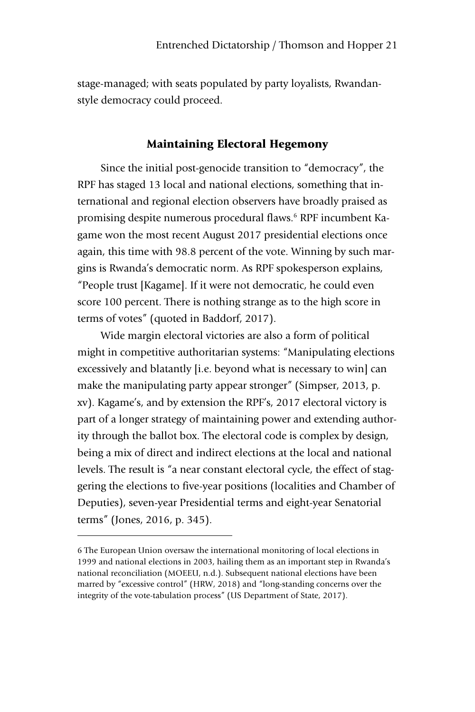stage-managed; with seats populated by party loyalists, Rwandanstyle democracy could proceed.

# Maintaining Electoral Hegemony

Since the initial post-genocide transition to "democracy", the RPF has staged 13 local and national elections, something that international and regional election observers have broadly praised as promising despite numerous procedural flaws.6 RPF incumbent Kagame won the most recent August 2017 presidential elections once again, this time with 98.8 percent of the vote. Winning by such margins is Rwanda's democratic norm. As RPF spokesperson explains, "People trust [Kagame]. If it were not democratic, he could even score 100 percent. There is nothing strange as to the high score in terms of votes" (quoted in Baddorf, 2017).

Wide margin electoral victories are also a form of political might in competitive authoritarian systems: "Manipulating elections excessively and blatantly [i.e. beyond what is necessary to win] can make the manipulating party appear stronger" (Simpser, 2013, p. xv). Kagame's, and by extension the RPF's, 2017 electoral victory is part of a longer strategy of maintaining power and extending authority through the ballot box. The electoral code is complex by design, being a mix of direct and indirect elections at the local and national levels. The result is "a near constant electoral cycle, the effect of staggering the elections to five-year positions (localities and Chamber of Deputies), seven-year Presidential terms and eight-year Senatorial terms" (Jones, 2016, p. 345).

-

<sup>6</sup> The European Union oversaw the international monitoring of local elections in 1999 and national elections in 2003, hailing them as an important step in Rwanda's national reconciliation (MOEEU, n.d.). Subsequent national elections have been marred by "excessive control" (HRW, 2018) and "long-standing concerns over the integrity of the vote-tabulation process" (US Department of State, 2017).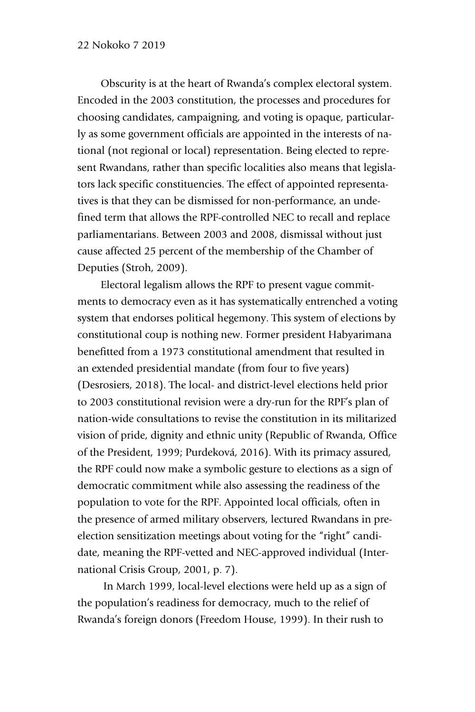Obscurity is at the heart of Rwanda's complex electoral system. Encoded in the 2003 constitution, the processes and procedures for choosing candidates, campaigning, and voting is opaque, particularly as some government officials are appointed in the interests of national (not regional or local) representation. Being elected to represent Rwandans, rather than specific localities also means that legislators lack specific constituencies. The effect of appointed representatives is that they can be dismissed for non-performance, an undefined term that allows the RPF-controlled NEC to recall and replace parliamentarians. Between 2003 and 2008, dismissal without just cause affected 25 percent of the membership of the Chamber of Deputies (Stroh, 2009).

Electoral legalism allows the RPF to present vague commitments to democracy even as it has systematically entrenched a voting system that endorses political hegemony. This system of elections by constitutional coup is nothing new. Former president Habyarimana benefitted from a 1973 constitutional amendment that resulted in an extended presidential mandate (from four to five years) (Desrosiers, 2018). The local- and district-level elections held prior to 2003 constitutional revision were a dry-run for the RPF's plan of nation-wide consultations to revise the constitution in its militarized vision of pride, dignity and ethnic unity (Republic of Rwanda, Office of the President, 1999; Purdeková, 2016). With its primacy assured, the RPF could now make a symbolic gesture to elections as a sign of democratic commitment while also assessing the readiness of the population to vote for the RPF. Appointed local officials, often in the presence of armed military observers, lectured Rwandans in preelection sensitization meetings about voting for the "right" candidate, meaning the RPF-vetted and NEC-approved individual (International Crisis Group, 2001, p. 7).

In March 1999, local-level elections were held up as a sign of the population's readiness for democracy, much to the relief of Rwanda's foreign donors (Freedom House, 1999). In their rush to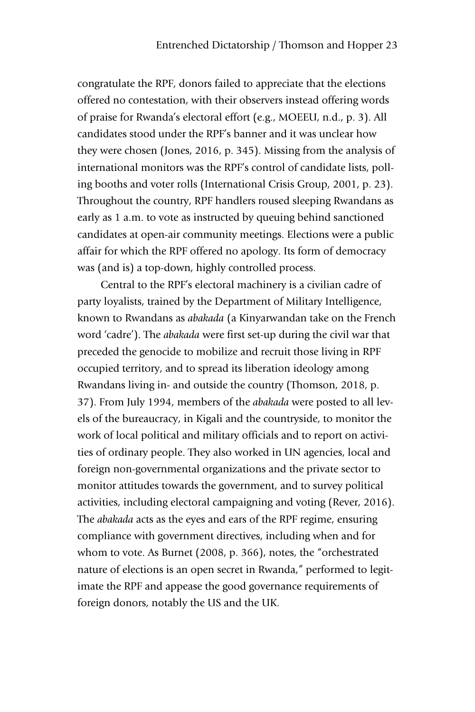congratulate the RPF, donors failed to appreciate that the elections offered no contestation, with their observers instead offering words of praise for Rwanda's electoral effort (e.g., MOEEU, n.d., p. 3). All candidates stood under the RPF's banner and it was unclear how they were chosen (Jones, 2016, p. 345). Missing from the analysis of international monitors was the RPF's control of candidate lists, polling booths and voter rolls (International Crisis Group, 2001, p. 23). Throughout the country, RPF handlers roused sleeping Rwandans as early as 1 a.m. to vote as instructed by queuing behind sanctioned candidates at open-air community meetings. Elections were a public affair for which the RPF offered no apology. Its form of democracy was (and is) a top-down, highly controlled process.

Central to the RPF's electoral machinery is a civilian cadre of party loyalists, trained by the Department of Military Intelligence, known to Rwandans as *abakada* (a Kinyarwandan take on the French word 'cadre'). The *abakada* were first set-up during the civil war that preceded the genocide to mobilize and recruit those living in RPF occupied territory, and to spread its liberation ideology among Rwandans living in- and outside the country (Thomson, 2018, p. 37). From July 1994, members of the *abakada* were posted to all levels of the bureaucracy, in Kigali and the countryside, to monitor the work of local political and military officials and to report on activities of ordinary people. They also worked in UN agencies, local and foreign non-governmental organizations and the private sector to monitor attitudes towards the government, and to survey political activities, including electoral campaigning and voting (Rever, 2016). The *abakada* acts as the eyes and ears of the RPF regime, ensuring compliance with government directives, including when and for whom to vote. As Burnet (2008, p. 366), notes, the "orchestrated nature of elections is an open secret in Rwanda," performed to legitimate the RPF and appease the good governance requirements of foreign donors, notably the US and the UK.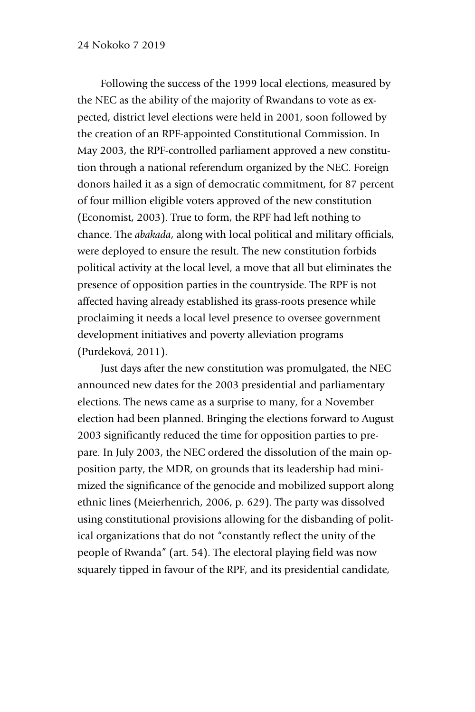Following the success of the 1999 local elections, measured by the NEC as the ability of the majority of Rwandans to vote as expected, district level elections were held in 2001, soon followed by the creation of an RPF-appointed Constitutional Commission. In May 2003, the RPF-controlled parliament approved a new constitution through a national referendum organized by the NEC. Foreign donors hailed it as a sign of democratic commitment, for 87 percent of four million eligible voters approved of the new constitution (Economist, 2003). True to form, the RPF had left nothing to chance. The *abakada*, along with local political and military officials, were deployed to ensure the result. The new constitution forbids political activity at the local level, a move that all but eliminates the presence of opposition parties in the countryside. The RPF is not affected having already established its grass-roots presence while proclaiming it needs a local level presence to oversee government development initiatives and poverty alleviation programs (Purdeková, 2011).

Just days after the new constitution was promulgated, the NEC announced new dates for the 2003 presidential and parliamentary elections. The news came as a surprise to many, for a November election had been planned. Bringing the elections forward to August 2003 significantly reduced the time for opposition parties to prepare. In July 2003, the NEC ordered the dissolution of the main opposition party, the MDR, on grounds that its leadership had minimized the significance of the genocide and mobilized support along ethnic lines (Meierhenrich, 2006, p. 629). The party was dissolved using constitutional provisions allowing for the disbanding of political organizations that do not "constantly reflect the unity of the people of Rwanda" (art. 54). The electoral playing field was now squarely tipped in favour of the RPF, and its presidential candidate,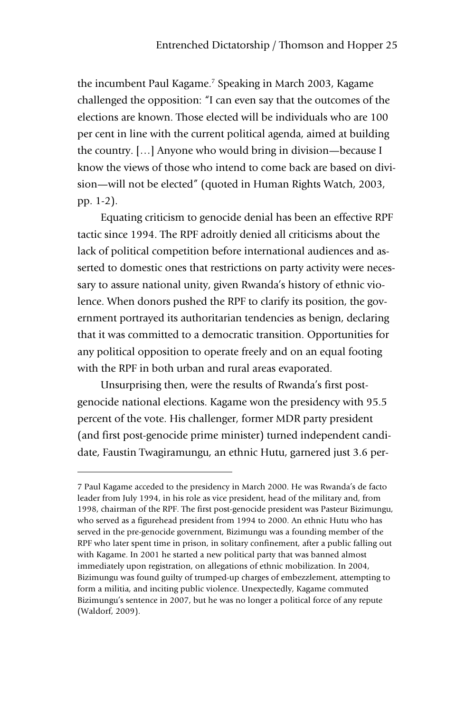the incumbent Paul Kagame. <sup>7</sup> Speaking in March 2003, Kagame challenged the opposition: "I can even say that the outcomes of the elections are known. Those elected will be individuals who are 100 per cent in line with the current political agenda, aimed at building the country. […] Anyone who would bring in division—because I know the views of those who intend to come back are based on division—will not be elected" (quoted in Human Rights Watch, 2003, pp. 1-2).

Equating criticism to genocide denial has been an effective RPF tactic since 1994. The RPF adroitly denied all criticisms about the lack of political competition before international audiences and asserted to domestic ones that restrictions on party activity were necessary to assure national unity, given Rwanda's history of ethnic violence. When donors pushed the RPF to clarify its position, the government portrayed its authoritarian tendencies as benign, declaring that it was committed to a democratic transition. Opportunities for any political opposition to operate freely and on an equal footing with the RPF in both urban and rural areas evaporated.

Unsurprising then, were the results of Rwanda's first postgenocide national elections. Kagame won the presidency with 95.5 percent of the vote. His challenger, former MDR party president (and first post-genocide prime minister) turned independent candidate, Faustin Twagiramungu, an ethnic Hutu, garnered just 3.6 per-

-

<sup>7</sup> Paul Kagame acceded to the presidency in March 2000. He was Rwanda's de facto leader from July 1994, in his role as vice president, head of the military and, from 1998, chairman of the RPF. The first post-genocide president was Pasteur Bizimungu, who served as a figurehead president from 1994 to 2000. An ethnic Hutu who has served in the pre-genocide government, Bizimungu was a founding member of the RPF who later spent time in prison, in solitary confinement, after a public falling out with Kagame. In 2001 he started a new political party that was banned almost immediately upon registration, on allegations of ethnic mobilization. In 2004, Bizimungu was found guilty of trumped-up charges of embezzlement, attempting to form a militia, and inciting public violence. Unexpectedly, Kagame commuted Bizimungu's sentence in 2007, but he was no longer a political force of any repute (Waldorf, 2009).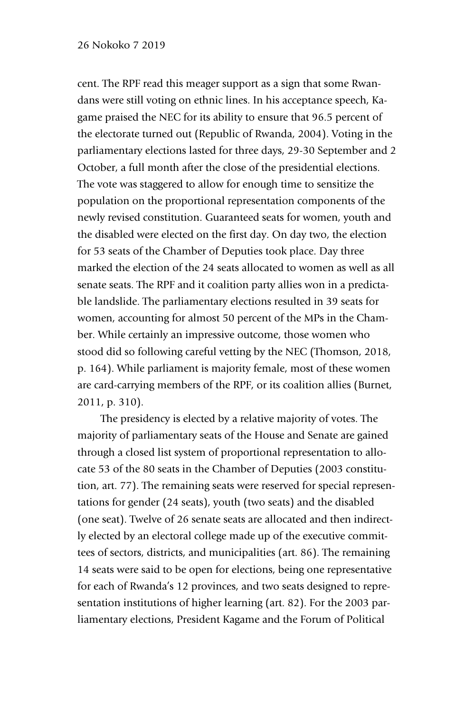cent. The RPF read this meager support as a sign that some Rwandans were still voting on ethnic lines. In his acceptance speech, Kagame praised the NEC for its ability to ensure that 96.5 percent of the electorate turned out (Republic of Rwanda, 2004). Voting in the parliamentary elections lasted for three days, 29-30 September and 2 October, a full month after the close of the presidential elections. The vote was staggered to allow for enough time to sensitize the population on the proportional representation components of the newly revised constitution. Guaranteed seats for women, youth and the disabled were elected on the first day. On day two, the election for 53 seats of the Chamber of Deputies took place. Day three marked the election of the 24 seats allocated to women as well as all senate seats. The RPF and it coalition party allies won in a predictable landslide. The parliamentary elections resulted in 39 seats for women, accounting for almost 50 percent of the MPs in the Chamber. While certainly an impressive outcome, those women who stood did so following careful vetting by the NEC (Thomson, 2018, p. 164). While parliament is majority female, most of these women are card-carrying members of the RPF, or its coalition allies (Burnet, 2011, p. 310).

The presidency is elected by a relative majority of votes. The majority of parliamentary seats of the House and Senate are gained through a closed list system of proportional representation to allocate 53 of the 80 seats in the Chamber of Deputies (2003 constitution, art. 77). The remaining seats were reserved for special representations for gender (24 seats), youth (two seats) and the disabled (one seat). Twelve of 26 senate seats are allocated and then indirectly elected by an electoral college made up of the executive committees of sectors, districts, and municipalities (art. 86). The remaining 14 seats were said to be open for elections, being one representative for each of Rwanda's 12 provinces, and two seats designed to representation institutions of higher learning (art. 82). For the 2003 parliamentary elections, President Kagame and the Forum of Political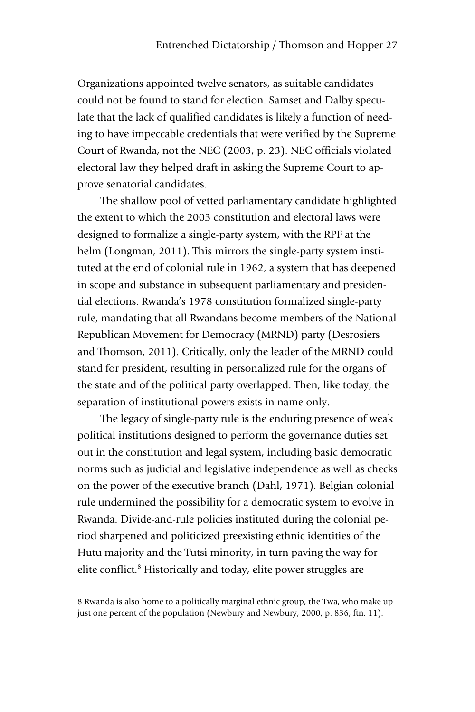Organizations appointed twelve senators, as suitable candidates could not be found to stand for election. Samset and Dalby speculate that the lack of qualified candidates is likely a function of needing to have impeccable credentials that were verified by the Supreme Court of Rwanda, not the NEC (2003, p. 23). NEC officials violated electoral law they helped draft in asking the Supreme Court to approve senatorial candidates.

The shallow pool of vetted parliamentary candidate highlighted the extent to which the 2003 constitution and electoral laws were designed to formalize a single-party system, with the RPF at the helm (Longman, 2011). This mirrors the single-party system instituted at the end of colonial rule in 1962, a system that has deepened in scope and substance in subsequent parliamentary and presidential elections. Rwanda's 1978 constitution formalized single-party rule, mandating that all Rwandans become members of the National Republican Movement for Democracy (MRND) party (Desrosiers and Thomson, 2011). Critically, only the leader of the MRND could stand for president, resulting in personalized rule for the organs of the state and of the political party overlapped. Then, like today, the separation of institutional powers exists in name only.

The legacy of single-party rule is the enduring presence of weak political institutions designed to perform the governance duties set out in the constitution and legal system, including basic democratic norms such as judicial and legislative independence as well as checks on the power of the executive branch (Dahl, 1971). Belgian colonial rule undermined the possibility for a democratic system to evolve in Rwanda. Divide-and-rule policies instituted during the colonial period sharpened and politicized preexisting ethnic identities of the Hutu majority and the Tutsi minority, in turn paving the way for elite conflict.<sup>8</sup> Historically and today, elite power struggles are

-

<sup>8</sup> Rwanda is also home to a politically marginal ethnic group, the Twa, who make up just one percent of the population (Newbury and Newbury, 2000, p. 836, ftn. 11).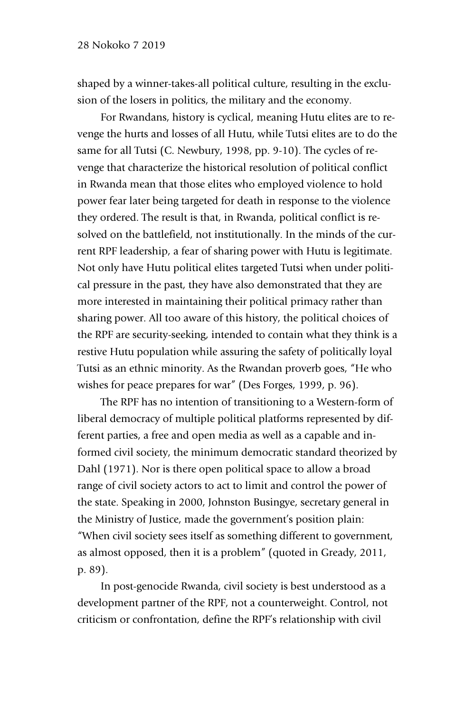shaped by a winner-takes-all political culture, resulting in the exclusion of the losers in politics, the military and the economy.

For Rwandans, history is cyclical, meaning Hutu elites are to revenge the hurts and losses of all Hutu, while Tutsi elites are to do the same for all Tutsi (C. Newbury, 1998, pp. 9-10). The cycles of revenge that characterize the historical resolution of political conflict in Rwanda mean that those elites who employed violence to hold power fear later being targeted for death in response to the violence they ordered. The result is that, in Rwanda, political conflict is resolved on the battlefield, not institutionally. In the minds of the current RPF leadership, a fear of sharing power with Hutu is legitimate. Not only have Hutu political elites targeted Tutsi when under political pressure in the past, they have also demonstrated that they are more interested in maintaining their political primacy rather than sharing power. All too aware of this history, the political choices of the RPF are security-seeking, intended to contain what they think is a restive Hutu population while assuring the safety of politically loyal Tutsi as an ethnic minority. As the Rwandan proverb goes, "He who wishes for peace prepares for war" (Des Forges, 1999, p. 96).

The RPF has no intention of transitioning to a Western-form of liberal democracy of multiple political platforms represented by different parties, a free and open media as well as a capable and informed civil society, the minimum democratic standard theorized by Dahl (1971). Nor is there open political space to allow a broad range of civil society actors to act to limit and control the power of the state. Speaking in 2000, Johnston Busingye, secretary general in the Ministry of Justice, made the government's position plain: "When civil society sees itself as something different to government, as almost opposed, then it is a problem" (quoted in Gready, 2011, p. 89).

In post-genocide Rwanda, civil society is best understood as a development partner of the RPF, not a counterweight. Control, not criticism or confrontation, define the RPF's relationship with civil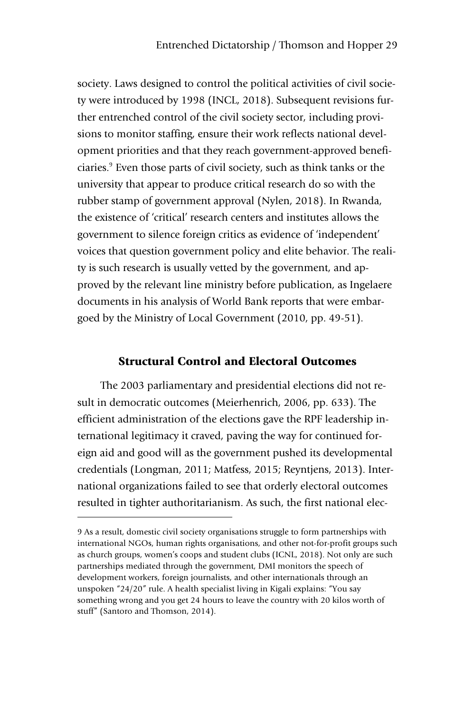society. Laws designed to control the political activities of civil society were introduced by 1998 (INCL, 2018). Subsequent revisions further entrenched control of the civil society sector, including provisions to monitor staffing, ensure their work reflects national development priorities and that they reach government-approved beneficiaries.9 Even those parts of civil society, such as think tanks or the university that appear to produce critical research do so with the rubber stamp of government approval (Nylen, 2018). In Rwanda, the existence of 'critical' research centers and institutes allows the government to silence foreign critics as evidence of 'independent' voices that question government policy and elite behavior. The reality is such research is usually vetted by the government, and approved by the relevant line ministry before publication, as Ingelaere documents in his analysis of World Bank reports that were embargoed by the Ministry of Local Government (2010, pp. 49-51).

# Structural Control and Electoral Outcomes

The 2003 parliamentary and presidential elections did not result in democratic outcomes (Meierhenrich, 2006, pp. 633). The efficient administration of the elections gave the RPF leadership international legitimacy it craved, paving the way for continued foreign aid and good will as the government pushed its developmental credentials (Longman, 2011; Matfess, 2015; Reyntjens, 2013). International organizations failed to see that orderly electoral outcomes resulted in tighter authoritarianism. As such, the first national elec-

j

<sup>9</sup> As a result, domestic civil society organisations struggle to form partnerships with international NGOs, human rights organisations, and other not-for-profit groups such as church groups, women's coops and student clubs (ICNL, 2018). Not only are such partnerships mediated through the government, DMI monitors the speech of development workers, foreign journalists, and other internationals through an unspoken "24/20" rule. A health specialist living in Kigali explains: "You say something wrong and you get 24 hours to leave the country with 20 kilos worth of stuff" (Santoro and Thomson, 2014).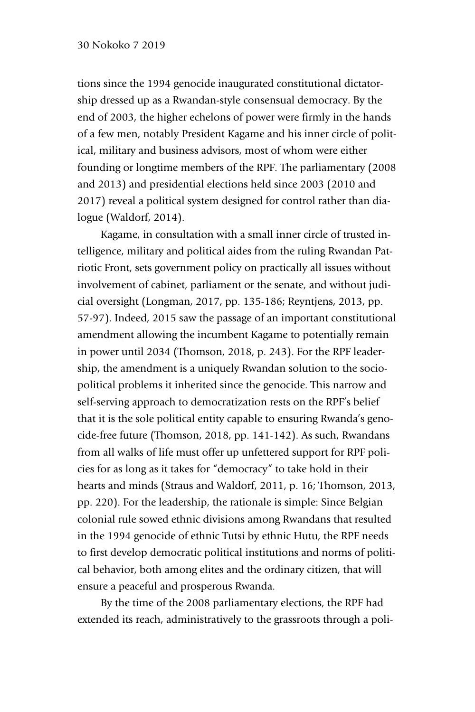tions since the 1994 genocide inaugurated constitutional dictatorship dressed up as a Rwandan-style consensual democracy. By the end of 2003, the higher echelons of power were firmly in the hands of a few men, notably President Kagame and his inner circle of political, military and business advisors, most of whom were either founding or longtime members of the RPF. The parliamentary (2008 and 2013) and presidential elections held since 2003 (2010 and 2017) reveal a political system designed for control rather than dialogue (Waldorf, 2014).

Kagame, in consultation with a small inner circle of trusted intelligence, military and political aides from the ruling Rwandan Patriotic Front, sets government policy on practically all issues without involvement of cabinet, parliament or the senate, and without judicial oversight (Longman, 2017, pp. 135-186; Reyntjens, 2013, pp. 57-97). Indeed, 2015 saw the passage of an important constitutional amendment allowing the incumbent Kagame to potentially remain in power until 2034 (Thomson, 2018, p. 243). For the RPF leadership, the amendment is a uniquely Rwandan solution to the sociopolitical problems it inherited since the genocide. This narrow and self-serving approach to democratization rests on the RPF's belief that it is the sole political entity capable to ensuring Rwanda's genocide-free future (Thomson, 2018, pp. 141-142). As such, Rwandans from all walks of life must offer up unfettered support for RPF policies for as long as it takes for "democracy" to take hold in their hearts and minds (Straus and Waldorf, 2011, p. 16; Thomson, 2013, pp. 220). For the leadership, the rationale is simple: Since Belgian colonial rule sowed ethnic divisions among Rwandans that resulted in the 1994 genocide of ethnic Tutsi by ethnic Hutu, the RPF needs to first develop democratic political institutions and norms of political behavior, both among elites and the ordinary citizen, that will ensure a peaceful and prosperous Rwanda.

By the time of the 2008 parliamentary elections, the RPF had extended its reach, administratively to the grassroots through a poli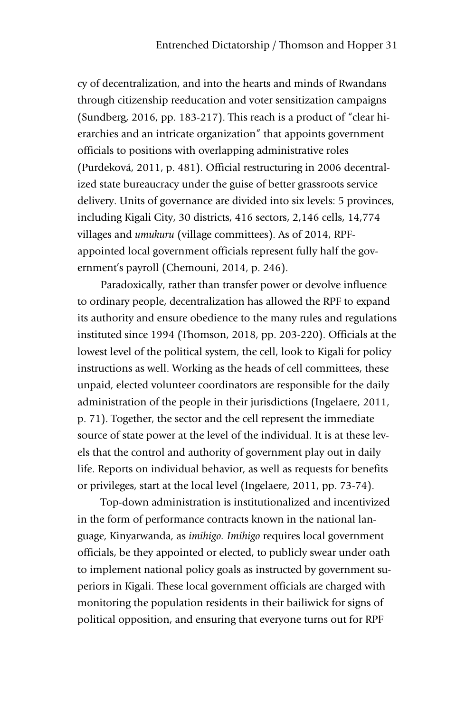cy of decentralization, and into the hearts and minds of Rwandans through citizenship reeducation and voter sensitization campaigns (Sundberg, 2016, pp. 183-217). This reach is a product of "clear hierarchies and an intricate organization" that appoints government officials to positions with overlapping administrative roles (Purdeková, 2011, p. 481). Official restructuring in 2006 decentralized state bureaucracy under the guise of better grassroots service delivery. Units of governance are divided into six levels: 5 provinces, including Kigali City, 30 districts, 416 sectors, 2,146 cells, 14,774 villages and *umukuru* (village committees). As of 2014, RPFappointed local government officials represent fully half the government's payroll (Chemouni, 2014, p. 246).

Paradoxically, rather than transfer power or devolve influence to ordinary people, decentralization has allowed the RPF to expand its authority and ensure obedience to the many rules and regulations instituted since 1994 (Thomson, 2018, pp. 203-220). Officials at the lowest level of the political system, the cell, look to Kigali for policy instructions as well. Working as the heads of cell committees, these unpaid, elected volunteer coordinators are responsible for the daily administration of the people in their jurisdictions (Ingelaere, 2011, p. 71). Together, the sector and the cell represent the immediate source of state power at the level of the individual. It is at these levels that the control and authority of government play out in daily life. Reports on individual behavior, as well as requests for benefits or privileges, start at the local level (Ingelaere, 2011, pp. 73-74).

Top-down administration is institutionalized and incentivized in the form of performance contracts known in the national language, Kinyarwanda, as *imihigo. Imihigo* requires local government officials, be they appointed or elected, to publicly swear under oath to implement national policy goals as instructed by government superiors in Kigali. These local government officials are charged with monitoring the population residents in their bailiwick for signs of political opposition, and ensuring that everyone turns out for RPF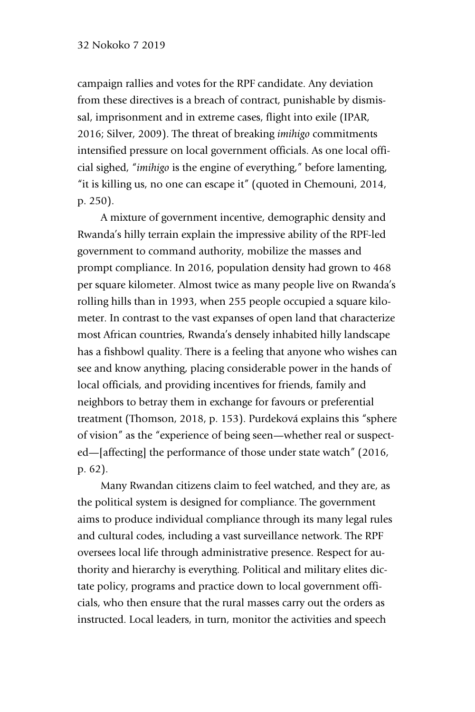# 32 Nokoko 7 2019

campaign rallies and votes for the RPF candidate. Any deviation from these directives is a breach of contract, punishable by dismissal, imprisonment and in extreme cases, flight into exile (IPAR, 2016; Silver, 2009). The threat of breaking *imihigo* commitments intensified pressure on local government officials. As one local official sighed, "*imihigo* is the engine of everything," before lamenting, "it is killing us, no one can escape it" (quoted in Chemouni, 2014, p. 250).

A mixture of government incentive, demographic density and Rwanda's hilly terrain explain the impressive ability of the RPF-led government to command authority, mobilize the masses and prompt compliance. In 2016, population density had grown to 468 per square kilometer. Almost twice as many people live on Rwanda's rolling hills than in 1993, when 255 people occupied a square kilometer. In contrast to the vast expanses of open land that characterize most African countries, Rwanda's densely inhabited hilly landscape has a fishbowl quality. There is a feeling that anyone who wishes can see and know anything, placing considerable power in the hands of local officials, and providing incentives for friends, family and neighbors to betray them in exchange for favours or preferential treatment (Thomson, 2018, p. 153). Purdeková explains this "sphere of vision" as the "experience of being seen—whether real or suspected—[affecting] the performance of those under state watch" (2016, p. 62).

Many Rwandan citizens claim to feel watched, and they are, as the political system is designed for compliance. The government aims to produce individual compliance through its many legal rules and cultural codes, including a vast surveillance network. The RPF oversees local life through administrative presence. Respect for authority and hierarchy is everything. Political and military elites dictate policy, programs and practice down to local government officials, who then ensure that the rural masses carry out the orders as instructed. Local leaders, in turn, monitor the activities and speech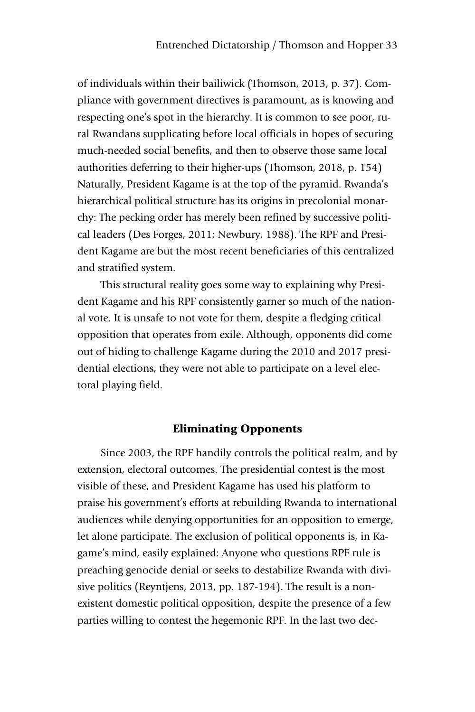of individuals within their bailiwick (Thomson, 2013, p. 37). Compliance with government directives is paramount, as is knowing and respecting one's spot in the hierarchy. It is common to see poor, rural Rwandans supplicating before local officials in hopes of securing much-needed social benefits, and then to observe those same local authorities deferring to their higher-ups (Thomson, 2018, p. 154) Naturally, President Kagame is at the top of the pyramid. Rwanda's hierarchical political structure has its origins in precolonial monarchy: The pecking order has merely been refined by successive political leaders (Des Forges, 2011; Newbury, 1988). The RPF and President Kagame are but the most recent beneficiaries of this centralized and stratified system.

This structural reality goes some way to explaining why President Kagame and his RPF consistently garner so much of the national vote. It is unsafe to not vote for them, despite a fledging critical opposition that operates from exile. Although, opponents did come out of hiding to challenge Kagame during the 2010 and 2017 presidential elections, they were not able to participate on a level electoral playing field.

# Eliminating Opponents

Since 2003, the RPF handily controls the political realm, and by extension, electoral outcomes. The presidential contest is the most visible of these, and President Kagame has used his platform to praise his government's efforts at rebuilding Rwanda to international audiences while denying opportunities for an opposition to emerge, let alone participate. The exclusion of political opponents is, in Kagame's mind, easily explained: Anyone who questions RPF rule is preaching genocide denial or seeks to destabilize Rwanda with divisive politics (Reyntjens, 2013, pp. 187-194). The result is a nonexistent domestic political opposition, despite the presence of a few parties willing to contest the hegemonic RPF. In the last two dec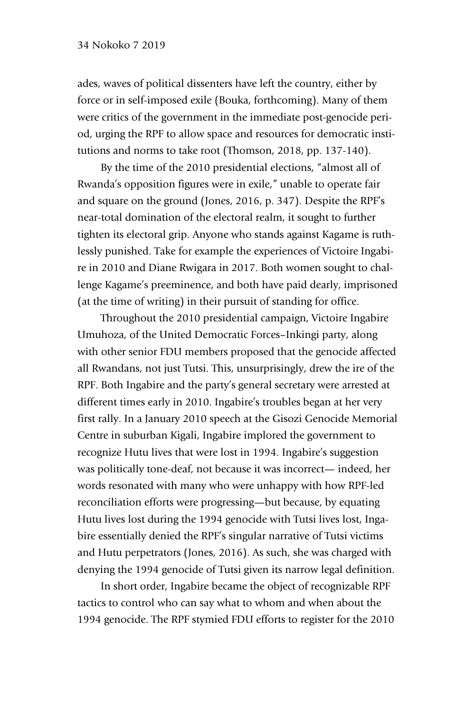ades, waves of political dissenters have left the country, either by force or in self-imposed exile (Bouka, forthcoming). Many of them were critics of the government in the immediate post-genocide period, urging the RPF to allow space and resources for democratic institutions and norms to take root (Thomson, 2018, pp. 137-140).

By the time of the 2010 presidential elections, "almost all of Rwanda's opposition figures were in exile," unable to operate fair and square on the ground (Jones, 2016, p. 347). Despite the RPF's near-total domination of the electoral realm, it sought to further tighten its electoral grip. Anyone who stands against Kagame is ruthlessly punished. Take for example the experiences of Victoire Ingabire in 2010 and Diane Rwigara in 2017. Both women sought to challenge Kagame's preeminence, and both have paid dearly, imprisoned (at the time of writing) in their pursuit of standing for office.

Throughout the 2010 presidential campaign, Victoire Ingabire Umuhoza, of the United Democratic Forces–Inkingi party, along with other senior FDU members proposed that the genocide affected all Rwandans, not just Tutsi. This, unsurprisingly, drew the ire of the RPF. Both Ingabire and the party's general secretary were arrested at different times early in 2010. Ingabire's troubles began at her very first rally. In a January 2010 speech at the Gisozi Genocide Memorial Centre in suburban Kigali, Ingabire implored the government to recognize Hutu lives that were lost in 1994. Ingabire's suggestion was politically tone-deaf, not because it was incorrect— indeed, her words resonated with many who were unhappy with how RPF-led reconciliation efforts were progressing—but because, by equating Hutu lives lost during the 1994 genocide with Tutsi lives lost, Ingabire essentially denied the RPF's singular narrative of Tutsi victims and Hutu perpetrators (Jones, 2016). As such, she was charged with denying the 1994 genocide of Tutsi given its narrow legal definition.

In short order, Ingabire became the object of recognizable RPF tactics to control who can say what to whom and when about the 1994 genocide. The RPF stymied FDU efforts to register for the 2010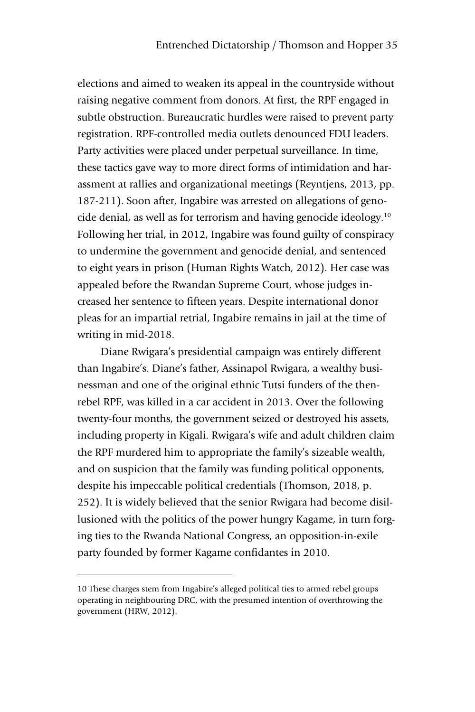elections and aimed to weaken its appeal in the countryside without raising negative comment from donors. At first, the RPF engaged in subtle obstruction. Bureaucratic hurdles were raised to prevent party registration. RPF-controlled media outlets denounced FDU leaders. Party activities were placed under perpetual surveillance. In time, these tactics gave way to more direct forms of intimidation and harassment at rallies and organizational meetings (Reyntjens, 2013, pp. 187-211). Soon after, Ingabire was arrested on allegations of genocide denial, as well as for terrorism and having genocide ideology.10 Following her trial, in 2012, Ingabire was found guilty of conspiracy to undermine the government and genocide denial, and sentenced to eight years in prison (Human Rights Watch, 2012). Her case was appealed before the Rwandan Supreme Court, whose judges increased her sentence to fifteen years. Despite international donor pleas for an impartial retrial, Ingabire remains in jail at the time of writing in mid-2018.

Diane Rwigara's presidential campaign was entirely different than Ingabire's. Diane's father, Assinapol Rwigara, a wealthy businessman and one of the original ethnic Tutsi funders of the thenrebel RPF, was killed in a car accident in 2013. Over the following twenty-four months, the government seized or destroyed his assets, including property in Kigali. Rwigara's wife and adult children claim the RPF murdered him to appropriate the family's sizeable wealth, and on suspicion that the family was funding political opponents, despite his impeccable political credentials (Thomson, 2018, p. 252). It is widely believed that the senior Rwigara had become disillusioned with the politics of the power hungry Kagame, in turn forging ties to the Rwanda National Congress, an opposition-in-exile party founded by former Kagame confidantes in 2010.

-

<sup>10</sup> These charges stem from Ingabire's alleged political ties to armed rebel groups operating in neighbouring DRC, with the presumed intention of overthrowing the government (HRW, 2012).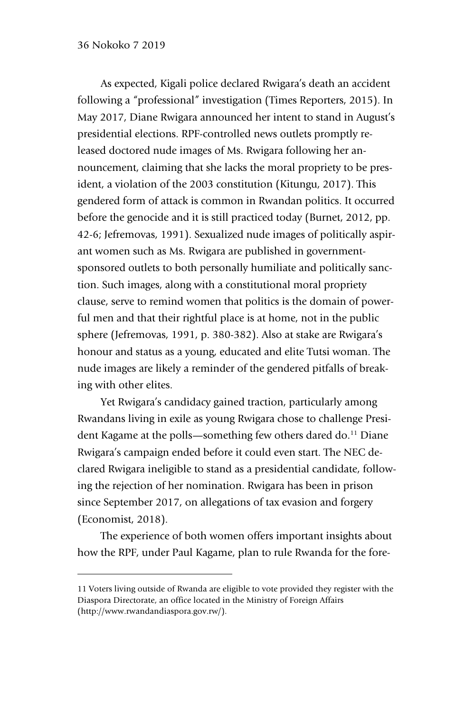## 36 Nokoko 7 2019

-

As expected, Kigali police declared Rwigara's death an accident following a "professional" investigation (Times Reporters, 2015). In May 2017, Diane Rwigara announced her intent to stand in August's presidential elections. RPF-controlled news outlets promptly released doctored nude images of Ms. Rwigara following her announcement, claiming that she lacks the moral propriety to be president, a violation of the 2003 constitution (Kitungu, 2017). This gendered form of attack is common in Rwandan politics. It occurred before the genocide and it is still practiced today (Burnet, 2012, pp. 42-6; Jefremovas, 1991). Sexualized nude images of politically aspirant women such as Ms. Rwigara are published in governmentsponsored outlets to both personally humiliate and politically sanction. Such images, along with a constitutional moral propriety clause, serve to remind women that politics is the domain of powerful men and that their rightful place is at home, not in the public sphere (Jefremovas, 1991, p. 380-382). Also at stake are Rwigara's honour and status as a young, educated and elite Tutsi woman. The nude images are likely a reminder of the gendered pitfalls of breaking with other elites.

Yet Rwigara's candidacy gained traction, particularly among Rwandans living in exile as young Rwigara chose to challenge President Kagame at the polls—something few others dared do.<sup>11</sup> Diane Rwigara's campaign ended before it could even start. The NEC declared Rwigara ineligible to stand as a presidential candidate, following the rejection of her nomination. Rwigara has been in prison since September 2017, on allegations of tax evasion and forgery (Economist, 2018).

The experience of both women offers important insights about how the RPF, under Paul Kagame, plan to rule Rwanda for the fore-

<sup>11</sup> Voters living outside of Rwanda are eligible to vote provided they register with the Diaspora Directorate, an office located in the Ministry of Foreign Affairs (http://www.rwandandiaspora.gov.rw/).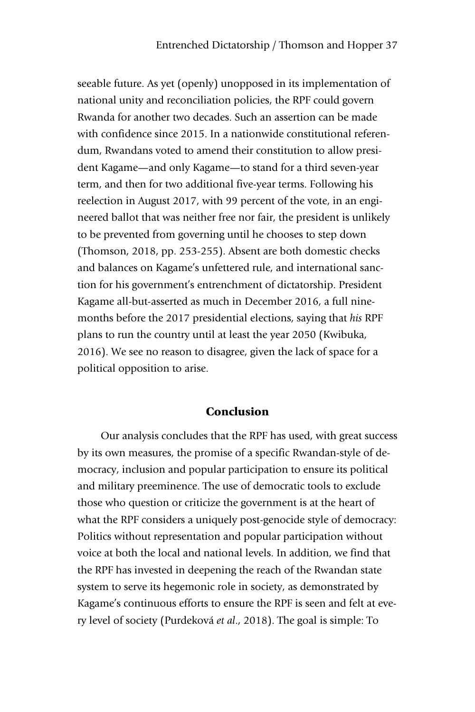seeable future. As yet (openly) unopposed in its implementation of national unity and reconciliation policies, the RPF could govern Rwanda for another two decades. Such an assertion can be made with confidence since 2015. In a nationwide constitutional referendum, Rwandans voted to amend their constitution to allow president Kagame—and only Kagame—to stand for a third seven-year term, and then for two additional five-year terms. Following his reelection in August 2017, with 99 percent of the vote, in an engineered ballot that was neither free nor fair, the president is unlikely to be prevented from governing until he chooses to step down (Thomson, 2018, pp. 253-255). Absent are both domestic checks and balances on Kagame's unfettered rule, and international sanction for his government's entrenchment of dictatorship. President Kagame all-but-asserted as much in December 2016, a full ninemonths before the 2017 presidential elections, saying that *his* RPF plans to run the country until at least the year 2050 (Kwibuka, 2016). We see no reason to disagree, given the lack of space for a political opposition to arise.

# Conclusion

Our analysis concludes that the RPF has used, with great success by its own measures, the promise of a specific Rwandan-style of democracy, inclusion and popular participation to ensure its political and military preeminence. The use of democratic tools to exclude those who question or criticize the government is at the heart of what the RPF considers a uniquely post-genocide style of democracy: Politics without representation and popular participation without voice at both the local and national levels. In addition, we find that the RPF has invested in deepening the reach of the Rwandan state system to serve its hegemonic role in society, as demonstrated by Kagame's continuous efforts to ensure the RPF is seen and felt at every level of society (Purdeková *et al*., 2018). The goal is simple: To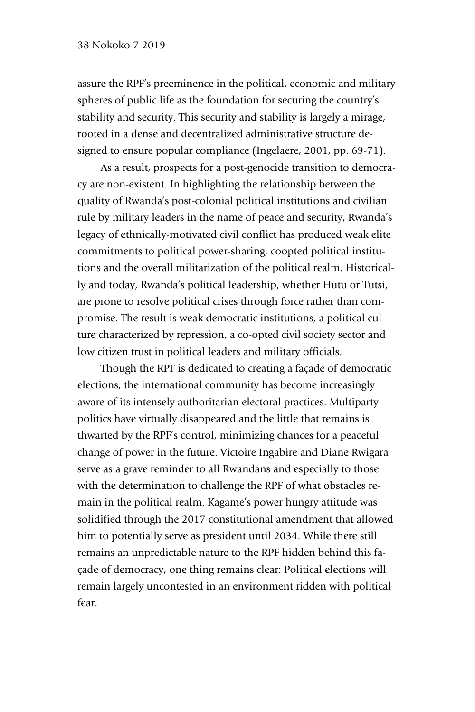assure the RPF's preeminence in the political, economic and military spheres of public life as the foundation for securing the country's stability and security. This security and stability is largely a mirage, rooted in a dense and decentralized administrative structure designed to ensure popular compliance (Ingelaere, 2001, pp. 69-71).

As a result, prospects for a post-genocide transition to democracy are non-existent. In highlighting the relationship between the quality of Rwanda's post-colonial political institutions and civilian rule by military leaders in the name of peace and security, Rwanda's legacy of ethnically-motivated civil conflict has produced weak elite commitments to political power-sharing, coopted political institutions and the overall militarization of the political realm. Historically and today, Rwanda's political leadership, whether Hutu or Tutsi, are prone to resolve political crises through force rather than compromise. The result is weak democratic institutions, a political culture characterized by repression, a co-opted civil society sector and low citizen trust in political leaders and military officials.

Though the RPF is dedicated to creating a façade of democratic elections, the international community has become increasingly aware of its intensely authoritarian electoral practices. Multiparty politics have virtually disappeared and the little that remains is thwarted by the RPF's control, minimizing chances for a peaceful change of power in the future. Victoire Ingabire and Diane Rwigara serve as a grave reminder to all Rwandans and especially to those with the determination to challenge the RPF of what obstacles remain in the political realm. Kagame's power hungry attitude was solidified through the 2017 constitutional amendment that allowed him to potentially serve as president until 2034. While there still remains an unpredictable nature to the RPF hidden behind this façade of democracy, one thing remains clear: Political elections will remain largely uncontested in an environment ridden with political fear.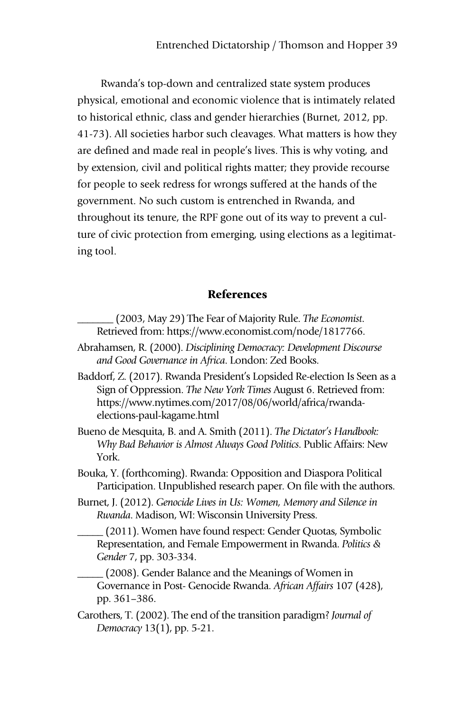Rwanda's top-down and centralized state system produces physical, emotional and economic violence that is intimately related to historical ethnic, class and gender hierarchies (Burnet, 2012, pp. 41-73). All societies harbor such cleavages. What matters is how they are defined and made real in people's lives. This is why voting, and by extension, civil and political rights matter; they provide recourse for people to seek redress for wrongs suffered at the hands of the government. No such custom is entrenched in Rwanda, and throughout its tenure, the RPF gone out of its way to prevent a culture of civic protection from emerging, using elections as a legitimating tool.

# References

- \_\_\_\_\_\_\_ (2003, May 29) The Fear of Majority Rule. *The Economist*. Retrieved from: https://www.economist.com/node/1817766.
- Abrahamsen, R. (2000). *Disciplining Democracy: Development Discourse and Good Governance in Africa*. London: Zed Books.
- Baddorf, Z. (2017). Rwanda President's Lopsided Re-election Is Seen as a Sign of Oppression. *The New York Times* August 6. Retrieved from: https://www.nytimes.com/2017/08/06/world/africa/rwandaelections-paul-kagame.html
- Bueno de Mesquita, B. and A. Smith (2011). *The Dictator's Handbook: Why Bad Behavior is Almost Always Good Politics*. Public Affairs: New York.
- Bouka, Y. (forthcoming). Rwanda: Opposition and Diaspora Political Participation. Unpublished research paper. On file with the authors.
- Burnet, J. (2012). *Genocide Lives in Us: Women, Memory and Silence in Rwanda*. Madison, WI: Wisconsin University Press.

\_\_\_\_\_ (2011). Women have found respect: Gender Quotas, Symbolic Representation, and Female Empowerment in Rwanda. *Politics & Gender* 7, pp. 303-334.

\_\_\_\_\_ (2008). Gender Balance and the Meanings of Women in Governance in Post- Genocide Rwanda. *African Affairs* 107 (428), pp. 361–386.

Carothers, T. (2002). The end of the transition paradigm? *Journal of Democracy* 13(1), pp. 5-21.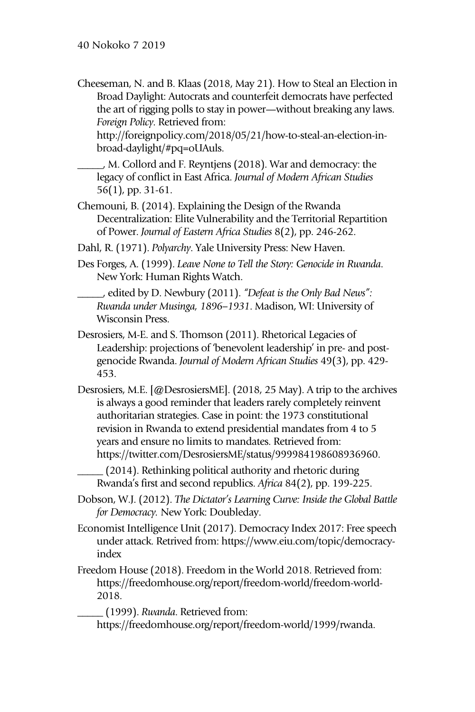Cheeseman, N. and B. Klaas (2018, May 21). How to Steal an Election in Broad Daylight: Autocrats and counterfeit democrats have perfected the art of rigging polls to stay in power—without breaking any laws. *Foreign Policy*. Retrieved from:

http://foreignpolicy.com/2018/05/21/how-to-steal-an-election-inbroad-daylight/#pq=oUAuls.

\_\_\_\_\_, M. Collord and F. Reyntjens (2018). War and democracy: the legacy of conflict in East Africa. *Journal of Modern African Studies*  56(1), pp. 31-61.

Chemouni, B. (2014). Explaining the Design of the Rwanda Decentralization: Elite Vulnerability and the Territorial Repartition of Power. *Journal of Eastern Africa Studies* 8(2), pp. 246-262.

Dahl, R. (1971). *Polyarchy*. Yale University Press: New Haven.

Des Forges, A. (1999). *Leave None to Tell the Story: Genocide in Rwanda*. New York: Human Rights Watch.

\_\_\_\_\_, edited by D. Newbury (2011). *"Defeat is the Only Bad News": Rwanda under Musinga, 18 96–1931*. Madison, WI: University of Wisconsin Press.

- Desrosiers, M-E. and S. Thomson (2011). Rhetorical Legacies of Leadership: projections of 'benevolent leadership' in pre- and postgenocide Rwanda. *Journal of Modern African Studies* 49(3), pp. 429- 453.
- Desrosiers, M.E. [@DesrosiersME]. (2018, 25 May). A trip to the archives is always a good reminder that leaders rarely completely reinvent authoritarian strategies. Case in point: the 1973 constitutional revision in Rwanda to extend presidential mandates from 4 to 5 years and ensure no limits to mandates. Retrieved from: https://twitter.com/DesrosiersME/status/999984198608936960.

\_\_\_\_\_ (2014). Rethinking political authority and rhetoric during Rwanda's first and second republics. *Africa* 84(2), pp. 199-225.

Dobson, W.J. (2012). *The Dictator's Learning Curve: Inside the Global Battle for Democracy.* New York: Doubleday.

Economist Intelligence Unit (2017). Democracy Index 2017: Free speech under attack. Retrived from: https://www.eiu.com/topic/democracyindex

Freedom House (2018). Freedom in the World 2018. Retrieved from: https://freedomhouse.org/report/freedom-world/freedom-world-2018.

\_\_\_\_\_ (1999). *Rwanda*. Retrieved from:

https://freedomhouse.org/report/freedom-world/1999/rwanda.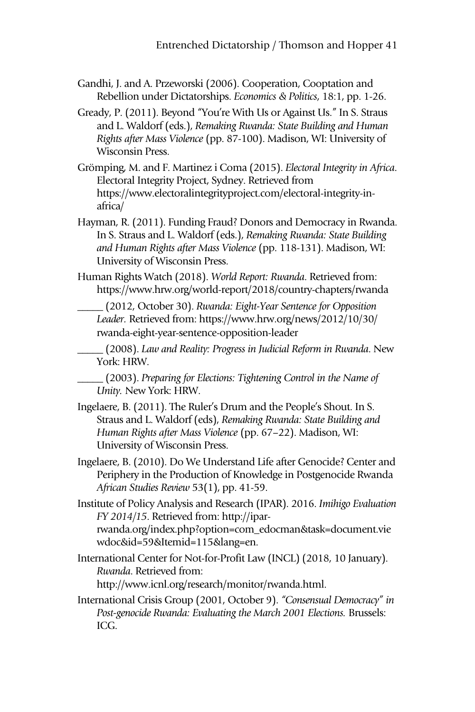- Gandhi, J. and A. Przeworski (2006). Cooperation, Cooptation and Rebellion under Dictatorships. *Economics & Politics*, 18:1, pp. 1-26.
- Gready, P. (2011). Beyond "You're With Us or Against Us." In S. Straus and L. Waldorf (eds.), *Remaking Rwanda: State Building and Human Rights after Mass Violence* (pp. 87-100). Madison, WI: University of Wisconsin Press.
- Grömping, M. and F. Martinez i Coma (2015). *Electoral Integrity in Africa*. Electoral Integrity Project, Sydney. Retrieved from https://www.electoralintegrityproject.com/electoral-integrity-inafrica/
- Hayman, R. (2011). Funding Fraud? Donors and Democracy in Rwanda. In S. Straus and L. Waldorf (eds.), *Remaking Rwanda: State Building and Human Rights after Mass Violence* (pp. 118-131). Madison, WI: University of Wisconsin Press.
- Human Rights Watch (2018). *World Report: Rwanda*. Retrieved from: https://www.hrw.org/world-report/2018/country-chapters/rwanda
	- \_\_\_\_\_ (2012, October 30). *Rwanda: Eight-Year Sentence for Opposition Leader.* Retrieved from: https://www.hrw.org/news/2012/10/30/ rwanda-eight-year-sentence-opposition-leader
	- \_\_\_\_\_ (2008). *Law and Reality: Progress in Judicial Reform in Rwanda*. New York: HRW.
	- \_\_\_\_\_ (2003). *Preparing for Elections: Tightening Control in the Name of Unity.* New York: HRW.
- Ingelaere, B. (2011). The Ruler's Drum and the People's Shout. In S. Straus and L. Waldorf (eds), *Remaking Rwanda: State Building and Human Rights after Mass Violence* (pp. 67–22). Madison, WI: University of Wisconsin Press.
- Ingelaere, B. (2010). Do We Understand Life after Genocide? Center and Periphery in the Production of Knowledge in Postgenocide Rwanda *African Studies Review* 53(1), pp. 41-59.
- Institute of Policy Analysis and Research (IPAR). 2016. *Imihigo Evaluation FY 2014/15* . Retrieved from: http://iparrwanda.org/index.php?option=com\_edocman&task=document.vie wdoc&id=59&Itemid=115&lang=en.
- International Center for Not-for-Profit Law (INCL) (2018, 10 January). *Rwanda*. Retrieved from: http://www.icnl.org/research/monitor/rwanda.html.
- International Crisis Group (2001, October 9). *"Consensual Democracy" in*  Post-genocide Rwanda: Evaluating the March 2001 Elections. Brussels: ICG.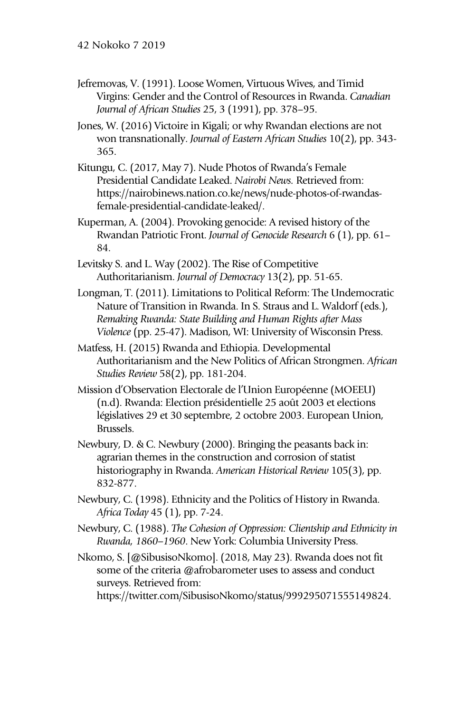- Jefremovas, V. (1991). Loose Women, Virtuous Wives, and Timid Virgins: Gender and the Control of Resources in Rwanda. *Canadian Journal of African Studies* 25, 3 (1991), pp. 378–95.
- Jones, W. (2016) Victoire in Kigali; or why Rwandan elections are not won transnationally. *Journal of Eastern African Studies* 10(2), pp. 343- 365.
- Kitungu, C. (2017, May 7). Nude Photos of Rwanda's Female Presidential Candidate Leaked. *Nairobi News.* Retrieved from: https://nairobinews.nation.co.ke/news/nude-photos-of-rwandasfemale-presidential-candidate-leaked/.
- Kuperman, A. (2004). Provoking genocide: A revised history of the Rwandan Patriotic Front. *Journal of Genocide Research* 6 (1), pp. 61– 84.
- Levitsky S. and L. Way (2002). The Rise of Competitive Authoritarianism. *Journal of Democracy* 13(2), pp. 51-65.
- Longman, T. (2011). Limitations to Political Reform: The Undemocratic Nature of Transition in Rwanda. In S. Straus and L. Waldorf (eds.), *Remaking Rwanda: State Building and Human Rights after Mass Violence* (pp. 25-47). Madison, WI: University of Wisconsin Press.
- Matfess, H. (2015) Rwanda and Ethiopia. Developmental Authoritarianism and the New Politics of African Strongmen. *African Studies Review* 58(2), pp. 181-204.
- Mission d'Observation Electorale de l'Union Européenne (MOEEU) (n.d). Rwanda: Election présidentielle 25 août 2003 et elections législatives 29 et 30 septembre, 2 octobre 2003. European Union, Brussels.
- Newbury, D. & C. Newbury (2000). Bringing the peasants back in: agrarian themes in the construction and corrosion of statist historiography in Rwanda. *American Historical Review* 105(3), pp. 832-877.
- Newbury, C. (1998). Ethnicity and the Politics of History in Rwanda. *Africa Today* 45 (1), pp. 7-24.
- Newbury, C. (1988). *The Cohesion of Oppression: Clientship and Ethnicity in Rwanda, 18 60–1960*. New York: Columbia University Press.
- Nkomo, S. [@SibusisoNkomo]. (2018, May 23). Rwanda does not fit some of the criteria @afrobarometer uses to assess and conduct surveys. Retrieved from:

https://twitter.com/SibusisoNkomo/status/999295071555149824.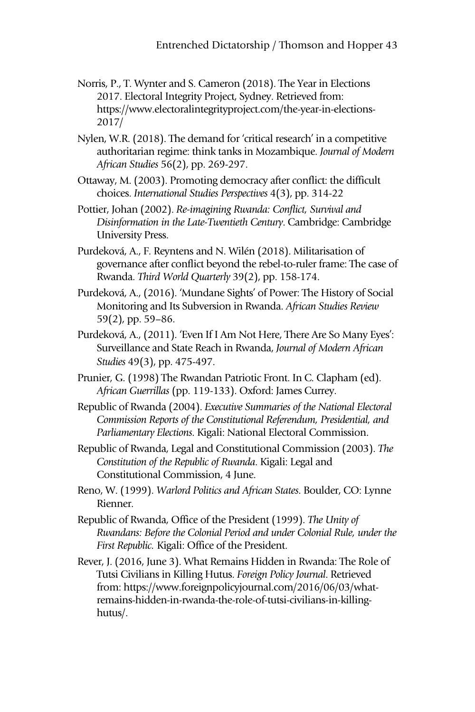- Norris, P., T. Wynter and S. Cameron (2018). The Year in Elections 2017. Electoral Integrity Project, Sydney. Retrieved from: https://www.electoralintegrityproject.com/the-year-in-elections-2017/
- Nylen, W.R. (2018). The demand for 'critical research' in a competitive authoritarian regime: think tanks in Mozambique. *Journal of Modern African Studies* 56(2), pp. 269-297.
- Ottaway, M. (2003). Promoting democracy after conflict: the difficult choices. *International Studies Perspectives* 4(3), pp. 314-22
- Pottier, Johan (2002). *Re-imagining Rwanda: Conflict, Survival and Disinformation in the Late-Twentieth Century*. Cambridge: Cambridge University Press.
- Purdeková, A., F. Reyntens and N. Wilén (2018). Militarisation of governance after conflict beyond the rebel-to-ruler frame: The case of Rwanda. *Third World Quarterly* 39(2), pp. 158-174.
- Purdeková, A., (2016). 'Mundane Sights' of Power: The History of Social Monitoring and Its Subversion in Rwanda. *African Studies Review* 59(2), pp. 59–86.
- Purdeková, A., (2011). 'Even If I Am Not Here, There Are So Many Eyes': Surveillance and State Reach in Rwanda, *Journal of Modern African Studies* 49(3), pp. 475-497.
- Prunier, G. (1998) The Rwandan Patriotic Front. In C. Clapham (ed). *African Guerrillas* (pp. 119-133). Oxford: James Currey.
- Republic of Rwanda (2004). *Executive Summaries of the National Electoral Commission Reports of the Constitutional Referendum, Presidential, and Parliamentary Elections*. Kigali: National Electoral Commission.
- Republic of Rwanda, Legal and Constitutional Commission (2003). *The Constitution of the Republic of Rwanda*. Kigali: Legal and Constitutional Commission, 4 June.
- Reno, W. (1999). *Warlord Politics and African States*. Boulder, CO: Lynne Rienner.
- Republic of Rwanda, Office of the President (1999). *The Unity of Rwandans: Before the Colonial Period and under Colonial Rule, under the First Republic.* Kigali: Office of the President.
- Rever, J. (2016, June 3). What Remains Hidden in Rwanda: The Role of Tutsi Civilians in Killing Hutus. *Foreign Policy Journal*. Retrieved from: https://www.foreignpolicyjournal.com/2016/06/03/whatremains-hidden-in-rwanda-the-role-of-tutsi-civilians-in-killinghutus/.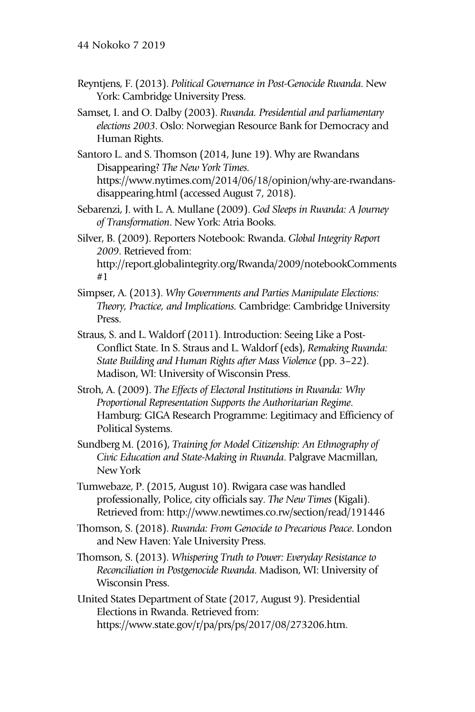- Reyntjens, F. (2013). *Political Governance in Post-Genocide Rwanda*. New York: Cambridge University Press.
- Samset, I. and O. Dalby (2003). *Rwanda. Presidential and parliamentary elections 2003*. Oslo: Norwegian Resource Bank for Democracy and Human Rights.
- Santoro L. and S. Thomson (2014, June 19). Why are Rwandans Disappearing? *The New York Times.*  https://www.nytimes.com/2014/06/18/opinion/why-are-rwandansdisappearing.html (accessed August 7, 2018).
- Sebarenzi, J. with L. A. Mullane (2009). *God Sleeps in Rwanda: A Journey of Transformation*. New York: Atria Books.
- Silver, B. (2009). Reporters Notebook: Rwanda. *Global Integrity Report 2009*. Retrieved from: http://report.globalintegrity.org/Rwanda/2009/notebookComments

```
#1
```
- Simpser, A. (2013). *Why Governments and Parties Manipulate Elections: Theory, Practice, and Implications.* Cambridge: Cambridge University Press.
- Straus, S. and L. Waldorf (2011). Introduction: Seeing Like a Post-Conflict State. In S. Straus and L. Waldorf (eds), *Remaking Rwanda: State Building and Human Rights after Mass Violence* (pp. 3–22). Madison, WI: University of Wisconsin Press.
- Stroh, A. (2009). *The Effects of Electoral Institutions in Rwanda: Why Proportional Representation Supports the Authoritarian Regime*. Hamburg: GIGA Research Programme: Legitimacy and Efficiency of Political Systems.
- Sundberg M. (2016), *Training for Model Citizenship: An Ethnography of Civic Education and State-Making in Rwanda*. Palgrave Macmillan, New York
- Tumwebaze, P. (2015, August 10). Rwigara case was handled professionally, Police, city officials say. *The New Times* (Kigali). Retrieved from: http://www.newtimes.co.rw/section/read/191446
- Thomson, S. (2018). *Rwanda: From Genocide to Precarious Peace*. London and New Haven: Yale University Press.
- Thomson, S. (2013). *Whispering Truth to Power: Everyday Resistance to Reconciliation in Postgenocide Rwanda*. Madison, WI: University of Wisconsin Press.
- United States Department of State (2017, August 9). Presidential Elections in Rwanda. Retrieved from: https://www.state.gov/r/pa/prs/ps/2017/08/273206.htm.